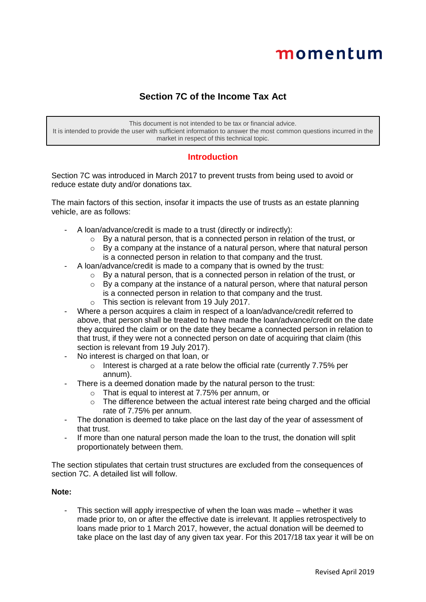# momentum

## **Section 7C of the Income Tax Act**

This document is not intended to be tax or financial advice. It is intended to provide the user with sufficient information to answer the most common questions incurred in the market in respect of this technical topic.

## **Introduction**

Section 7C was introduced in March 2017 to prevent trusts from being used to avoid or reduce estate duty and/or donations tax.

The main factors of this section, insofar it impacts the use of trusts as an estate planning vehicle, are as follows:

- A loan/advance/credit is made to a trust (directly or indirectly):
	- o By a natural person, that is a connected person in relation of the trust, or
	- $\circ$  By a company at the instance of a natural person, where that natural person is a connected person in relation to that company and the trust.
- A loan/advance/credit is made to a company that is owned by the trust:
	- $\circ$  By a natural person, that is a connected person in relation of the trust, or
	- $\circ$  By a company at the instance of a natural person, where that natural person is a connected person in relation to that company and the trust.
	- o This section is relevant from 19 July 2017.
- Where a person acquires a claim in respect of a loan/advance/credit referred to above, that person shall be treated to have made the loan/advance/credit on the date they acquired the claim or on the date they became a connected person in relation to that trust, if they were not a connected person on date of acquiring that claim (this section is relevant from 19 July 2017).
- No interest is charged on that loan, or
	- o Interest is charged at a rate below the official rate (currently 7.75% per annum).
- There is a deemed donation made by the natural person to the trust:
	- o That is equal to interest at 7.75% per annum, or
	- $\circ$  The difference between the actual interest rate being charged and the official rate of 7.75% per annum.
- The donation is deemed to take place on the last day of the year of assessment of that trust.
- If more than one natural person made the loan to the trust, the donation will split proportionately between them.

The section stipulates that certain trust structures are excluded from the consequences of section 7C. A detailed list will follow.

## **Note:**

This section will apply irrespective of when the loan was made – whether it was made prior to, on or after the effective date is irrelevant. It applies retrospectively to loans made prior to 1 March 2017, however, the actual donation will be deemed to take place on the last day of any given tax year. For this 2017/18 tax year it will be on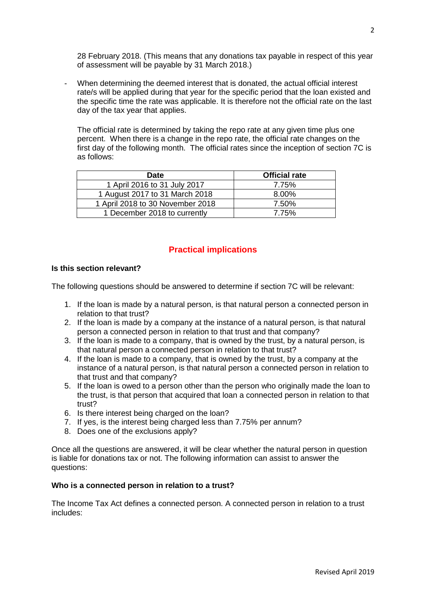28 February 2018. (This means that any donations tax payable in respect of this year of assessment will be payable by 31 March 2018.)

- When determining the deemed interest that is donated, the actual official interest rate/s will be applied during that year for the specific period that the loan existed and the specific time the rate was applicable. It is therefore not the official rate on the last day of the tax year that applies.

The official rate is determined by taking the repo rate at any given time plus one percent. When there is a change in the repo rate, the official rate changes on the first day of the following month. The official rates since the inception of section 7C is as follows:

| <b>Date</b>                      | <b>Official rate</b> |
|----------------------------------|----------------------|
| 1 April 2016 to 31 July 2017     | 7.75%                |
| 1 August 2017 to 31 March 2018   | 8.00%                |
| 1 April 2018 to 30 November 2018 | 7.50%                |
| 1 December 2018 to currently     | 7.75%                |

## **Practical implications**

#### **Is this section relevant?**

The following questions should be answered to determine if section 7C will be relevant:

- 1. If the loan is made by a natural person, is that natural person a connected person in relation to that trust?
- 2. If the loan is made by a company at the instance of a natural person, is that natural person a connected person in relation to that trust and that company?
- 3. If the loan is made to a company, that is owned by the trust, by a natural person, is that natural person a connected person in relation to that trust?
- 4. If the loan is made to a company, that is owned by the trust, by a company at the instance of a natural person, is that natural person a connected person in relation to that trust and that company?
- 5. If the loan is owed to a person other than the person who originally made the loan to the trust, is that person that acquired that loan a connected person in relation to that trust?
- 6. Is there interest being charged on the loan?
- 7. If yes, is the interest being charged less than 7.75% per annum?
- 8. Does one of the exclusions apply?

Once all the questions are answered, it will be clear whether the natural person in question is liable for donations tax or not. The following information can assist to answer the questions:

#### **Who is a connected person in relation to a trust?**

The Income Tax Act defines a connected person. A connected person in relation to a trust includes: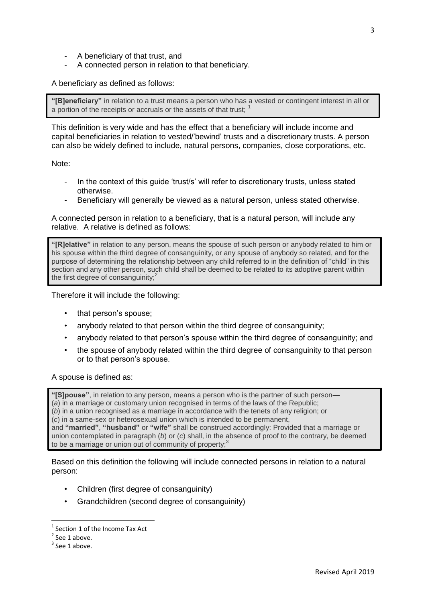- A beneficiary of that trust, and
- A connected person in relation to that beneficiary.

A beneficiary as defined as follows:

**"[B]eneficiary"** in relation to a trust means a person who has a vested or contingent interest in all or a portion of the receipts or accruals or the assets of that trust: <sup>1</sup>

This definition is very wide and has the effect that a beneficiary will include income and capital beneficiaries in relation to vested/'bewind' trusts and a discretionary trusts. A person can also be widely defined to include, natural persons, companies, close corporations, etc.

Note:

- In the context of this guide 'trust/s' will refer to discretionary trusts, unless stated otherwise.
- Beneficiary will generally be viewed as a natural person, unless stated otherwise.

A connected person in relation to a beneficiary, that is a natural person, will include any relative. A relative is defined as follows:

**"[R]elative"** in relation to any person, means the spouse of such person or anybody related to him or his spouse within the third degree of consanguinity, or any spouse of anybody so related, and for the purpose of determining the relationship between any child referred to in the definition of "child" in this section and any other person, such child shall be deemed to be related to its adoptive parent within the first degree of consanguinity; $<sup>2</sup>$ </sup>

Therefore it will include the following:

- that person's spouse;
- anybody related to that person within the third degree of consanguinity;
- anybody related to that person's spouse within the third degree of consanguinity; and
- the spouse of anybody related within the third degree of consanguinity to that person or to that person's spouse.

A spouse is defined as:

**"[S]pouse"**, in relation to any person, means a person who is the partner of such person—

(*a*) in a marriage or customary union recognised in terms of the laws of the Republic;

(*b*) in a union recognised as a marriage in accordance with the tenets of any religion; or

(*c*) in a same-sex or heterosexual union which is intended to be permanent,

and **"married"**, **"husband"** or **"wife"** shall be construed accordingly: Provided that a marriage or union contemplated in paragraph (*b*) or (*c*) shall, in the absence of proof to the contrary, be deemed to be a marriage or union out of community of property;<sup>3</sup>

Based on this definition the following will include connected persons in relation to a natural person:

- Children (first degree of consanguinity)
- Grandchildren (second degree of consanguinity)

**.** 

<sup>1</sup> Section 1 of the Income Tax Act

 $2$  See 1 above.

 $3$  See 1 above.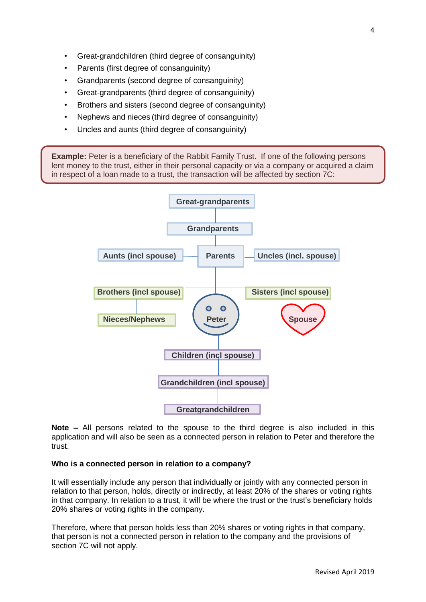- Great-grandchildren (third degree of consanguinity)
- Parents (first degree of consanguinity)
- Grandparents (second degree of consanguinity)
- Great-grandparents (third degree of consanguinity)
- Brothers and sisters (second degree of consanguinity)
- Nephews and nieces (third degree of consanguinity)
- Uncles and aunts (third degree of consanguinity)

**Example:** Peter is a beneficiary of the Rabbit Family Trust. If one of the following persons lent money to the trust, either in their personal capacity or via a company or acquired a claim in respect of a loan made to a trust, the transaction will be affected by section 7C:



**Note –** All persons related to the spouse to the third degree is also included in this application and will also be seen as a connected person in relation to Peter and therefore the trust.

## **Who is a connected person in relation to a company?**

It will essentially include any person that individually or jointly with any connected person in relation to that person, holds, directly or indirectly, at least 20% of the shares or voting rights in that company. In relation to a trust, it will be where the trust or the trust's beneficiary holds 20% shares or voting rights in the company.

Therefore, where that person holds less than 20% shares or voting rights in that company, that person is not a connected person in relation to the company and the provisions of section 7C will not apply.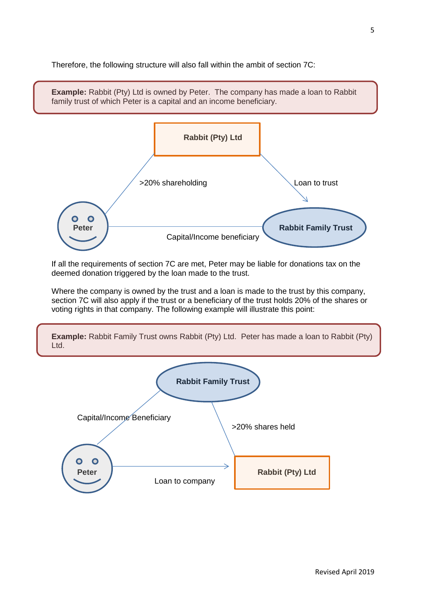Therefore, the following structure will also fall within the ambit of section 7C:



If all the requirements of section 7C are met, Peter may be liable for donations tax on the deemed donation triggered by the loan made to the trust.

Where the company is owned by the trust and a loan is made to the trust by this company, section 7C will also apply if the trust or a beneficiary of the trust holds 20% of the shares or voting rights in that company. The following example will illustrate this point:



**Example:** Rabbit Family Trust owns Rabbit (Pty) Ltd. Peter has made a loan to Rabbit (Pty)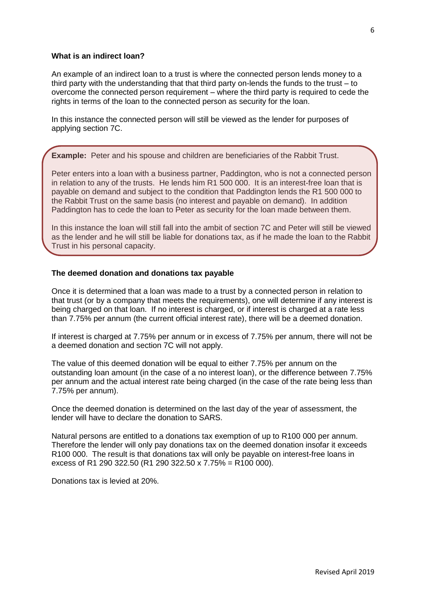#### **What is an indirect loan?**

An example of an indirect loan to a trust is where the connected person lends money to a third party with the understanding that that third party on-lends the funds to the trust – to overcome the connected person requirement – where the third party is required to cede the rights in terms of the loan to the connected person as security for the loan.

In this instance the connected person will still be viewed as the lender for purposes of applying section 7C.

**Example:** Peter and his spouse and children are beneficiaries of the Rabbit Trust.

Peter enters into a loan with a business partner, Paddington, who is not a connected person in relation to any of the trusts. He lends him R1 500 000. It is an interest-free loan that is payable on demand and subject to the condition that Paddington lends the R1 500 000 to the Rabbit Trust on the same basis (no interest and payable on demand). In addition Paddington has to cede the loan to Peter as security for the loan made between them.

In this instance the loan will still fall into the ambit of section 7C and Peter will still be viewed as the lender and he will still be liable for donations tax, as if he made the loan to the Rabbit Trust in his personal capacity.

#### **The deemed donation and donations tax payable**

Once it is determined that a loan was made to a trust by a connected person in relation to that trust (or by a company that meets the requirements), one will determine if any interest is being charged on that loan. If no interest is charged, or if interest is charged at a rate less than 7.75% per annum (the current official interest rate), there will be a deemed donation.

If interest is charged at 7.75% per annum or in excess of 7.75% per annum, there will not be a deemed donation and section 7C will not apply.

The value of this deemed donation will be equal to either 7.75% per annum on the outstanding loan amount (in the case of a no interest loan), or the difference between 7.75% per annum and the actual interest rate being charged (in the case of the rate being less than 7.75% per annum).

Once the deemed donation is determined on the last day of the year of assessment, the lender will have to declare the donation to SARS.

Natural persons are entitled to a donations tax exemption of up to R100 000 per annum. Therefore the lender will only pay donations tax on the deemed donation insofar it exceeds R100 000. The result is that donations tax will only be payable on interest-free loans in excess of R1 290 322.50 (R1 290 322.50 x 7.75% = R100 000).

Donations tax is levied at 20%.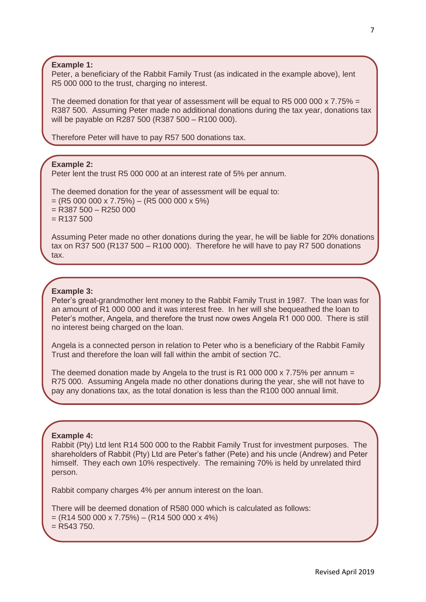**Example 1:**

Peter, a beneficiary of the Rabbit Family Trust (as indicated in the example above), lent R5 000 000 to the trust, charging no interest.

The deemed donation for that year of assessment will be equal to R5 000 000 x 7.75% = R387 500. Assuming Peter made no additional donations during the tax year, donations tax will be payable on R287 500 (R387 500 – R100 000).

Therefore Peter will have to pay R57 500 donations tax.

**Example 2:** 

Peter lent the trust R5 000 000 at an interest rate of 5% per annum.

The deemed donation for the year of assessment will be equal to:  $= (R5 000 000 x 7.75%) - (R5 000 000 x 5%)$  $=$  R387 500  $-$  R250 000  $= R137 500$ 

Assuming Peter made no other donations during the year, he will be liable for 20% donations tax on R37 500 (R137 500 – R100 000). Therefore he will have to pay R7 500 donations tax.

#### **Example 3:**

Peter's great-grandmother lent money to the Rabbit Family Trust in 1987. The loan was for an amount of R1 000 000 and it was interest free. In her will she bequeathed the loan to Peter's mother, Angela, and therefore the trust now owes Angela R1 000 000. There is still no interest being charged on the loan.

Angela is a connected person in relation to Peter who is a beneficiary of the Rabbit Family Trust and therefore the loan will fall within the ambit of section 7C.

The deemed donation made by Angela to the trust is R1 000 000 x 7.75% per annum  $=$ R75 000. Assuming Angela made no other donations during the year, she will not have to pay any donations tax, as the total donation is less than the R100 000 annual limit.

#### **Example 4:**

Rabbit (Pty) Ltd lent R14 500 000 to the Rabbit Family Trust for investment purposes. The shareholders of Rabbit (Pty) Ltd are Peter's father (Pete) and his uncle (Andrew) and Peter himself. They each own 10% respectively. The remaining 70% is held by unrelated third person.

Rabbit company charges 4% per annum interest on the loan.

There will be deemed donation of R580 000 which is calculated as follows:  $=(R14 500 000 x 7.75%) - (R14 500 000 x 4%)$  $=$  R543 750.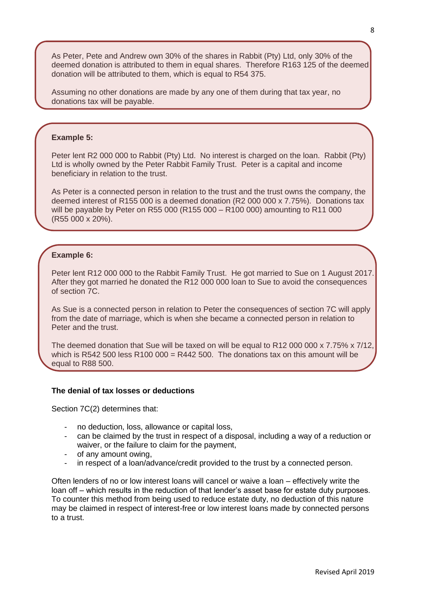As Peter, Pete and Andrew own 30% of the shares in Rabbit (Pty) Ltd, only 30% of the deemed donation is attributed to them in equal shares. Therefore R163 125 of the deemed donation will be attributed to them, which is equal to R54 375.

Assuming no other donations are made by any one of them during that tax year, no donations tax will be payable.

#### **Example 5:**

Peter lent R2 000 000 to Rabbit (Pty) Ltd. No interest is charged on the loan. Rabbit (Pty) Ltd is wholly owned by the Peter Rabbit Family Trust. Peter is a capital and income beneficiary in relation to the trust.

As Peter is a connected person in relation to the trust and the trust owns the company, the deemed interest of R155 000 is a deemed donation (R2 000 000 x 7.75%). Donations tax will be payable by Peter on R55 000 (R155 000 – R100 000) amounting to R11 000 (R55 000 x 20%).

#### **Example 6:**

Peter lent R12 000 000 to the Rabbit Family Trust. He got married to Sue on 1 August 2017. After they got married he donated the R12 000 000 loan to Sue to avoid the consequences of section 7C.

As Sue is a connected person in relation to Peter the consequences of section 7C will apply from the date of marriage, which is when she became a connected person in relation to Peter and the trust.

The deemed donation that Sue will be taxed on will be equal to R12 000 000 x 7.75% x 7/12, which is R542 500 less R100 000 = R442 500. The donations tax on this amount will be equal to R88 500.

#### **The denial of tax losses or deductions**

Section 7C(2) determines that:

- no deduction, loss, allowance or capital loss,
- can be claimed by the trust in respect of a disposal, including a way of a reduction or waiver, or the failure to claim for the payment,
- of any amount owing,
- in respect of a loan/advance/credit provided to the trust by a connected person.

Often lenders of no or low interest loans will cancel or waive a loan – effectively write the loan off – which results in the reduction of that lender's asset base for estate duty purposes. To counter this method from being used to reduce estate duty, no deduction of this nature may be claimed in respect of interest-free or low interest loans made by connected persons to a trust.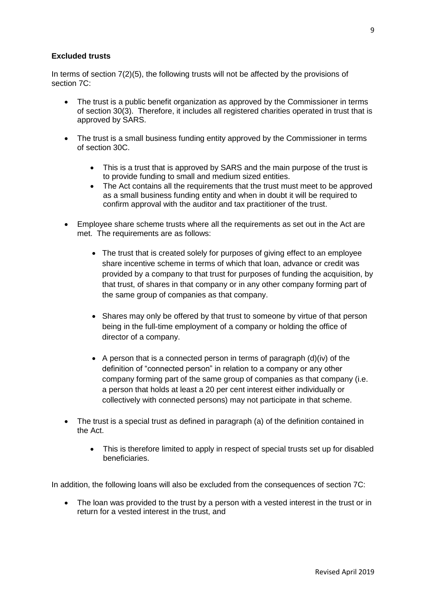## **Excluded trusts**

In terms of section 7(2)(5), the following trusts will not be affected by the provisions of section 7C:

- The trust is a public benefit organization as approved by the Commissioner in terms of section 30(3). Therefore, it includes all registered charities operated in trust that is approved by SARS.
- The trust is a small business funding entity approved by the Commissioner in terms of section 30C.
	- This is a trust that is approved by SARS and the main purpose of the trust is to provide funding to small and medium sized entities.
	- The Act contains all the requirements that the trust must meet to be approved as a small business funding entity and when in doubt it will be required to confirm approval with the auditor and tax practitioner of the trust.
- Employee share scheme trusts where all the requirements as set out in the Act are met. The requirements are as follows:
	- The trust that is created solely for purposes of giving effect to an employee share incentive scheme in terms of which that loan, advance or credit was provided by a company to that trust for purposes of funding the acquisition, by that trust, of shares in that company or in any other company forming part of the same group of companies as that company.
	- Shares may only be offered by that trust to someone by virtue of that person being in the full-time employment of a company or holding the office of director of a company.
	- $\bullet$  A person that is a connected person in terms of paragraph (d)(iv) of the definition of "connected person" in relation to a company or any other company forming part of the same group of companies as that company (i.e. a person that holds at least a 20 per cent interest either individually or collectively with connected persons) may not participate in that scheme.
- The trust is a special trust as defined in paragraph (a) of the definition contained in the Act.
	- This is therefore limited to apply in respect of special trusts set up for disabled beneficiaries.

In addition, the following loans will also be excluded from the consequences of section 7C:

• The loan was provided to the trust by a person with a vested interest in the trust or in return for a vested interest in the trust, and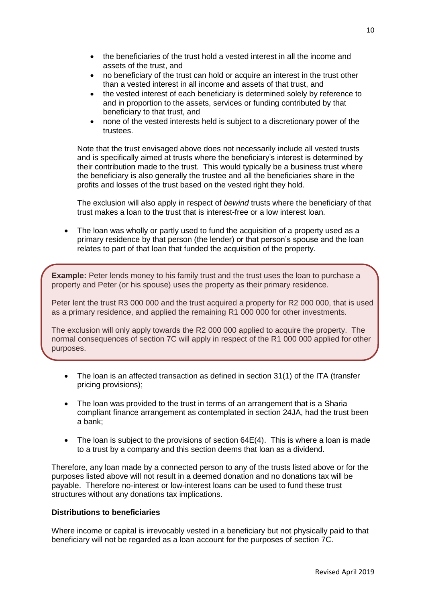- the beneficiaries of the trust hold a vested interest in all the income and assets of the trust, and
- no beneficiary of the trust can hold or acquire an interest in the trust other than a vested interest in all income and assets of that trust, and
- the vested interest of each beneficiary is determined solely by reference to and in proportion to the assets, services or funding contributed by that beneficiary to that trust, and
- none of the vested interests held is subject to a discretionary power of the trustees.

Note that the trust envisaged above does not necessarily include all vested trusts and is specifically aimed at trusts where the beneficiary's interest is determined by their contribution made to the trust. This would typically be a business trust where the beneficiary is also generally the trustee and all the beneficiaries share in the profits and losses of the trust based on the vested right they hold.

The exclusion will also apply in respect of *bewind* trusts where the beneficiary of that trust makes a loan to the trust that is interest-free or a low interest loan.

 The loan was wholly or partly used to fund the acquisition of a property used as a primary residence by that person (the lender) or that person's spouse and the loan relates to part of that loan that funded the acquisition of the property.

**Example:** Peter lends money to his family trust and the trust uses the loan to purchase a property and Peter (or his spouse) uses the property as their primary residence.

Peter lent the trust R3 000 000 and the trust acquired a property for R2 000 000, that is used as a primary residence, and applied the remaining R1 000 000 for other investments.

The exclusion will only apply towards the R2 000 000 applied to acquire the property. The normal consequences of section 7C will apply in respect of the R1 000 000 applied for other purposes.

- The loan is an affected transaction as defined in section 31(1) of the ITA (transfer pricing provisions);
- The loan was provided to the trust in terms of an arrangement that is a Sharia compliant finance arrangement as contemplated in section 24JA, had the trust been a bank;
- The loan is subject to the provisions of section 64E(4). This is where a loan is made to a trust by a company and this section deems that loan as a dividend.

Therefore, any loan made by a connected person to any of the trusts listed above or for the purposes listed above will not result in a deemed donation and no donations tax will be payable. Therefore no-interest or low-interest loans can be used to fund these trust structures without any donations tax implications.

## **Distributions to beneficiaries**

Where income or capital is irrevocably vested in a beneficiary but not physically paid to that beneficiary will not be regarded as a loan account for the purposes of section 7C.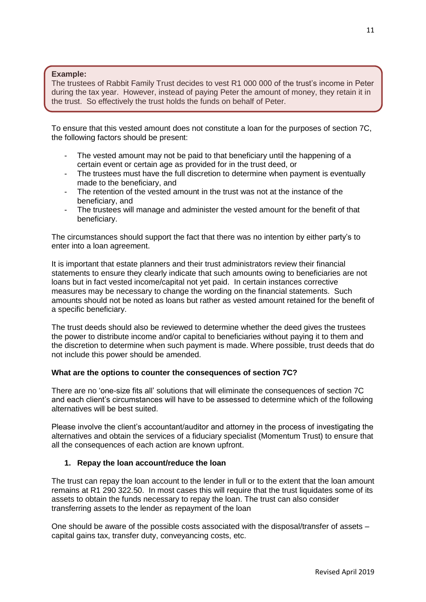#### **Example:**

The trustees of Rabbit Family Trust decides to vest R1 000 000 of the trust's income in Peter during the tax year. However, instead of paying Peter the amount of money, they retain it in the trust. So effectively the trust holds the funds on behalf of Peter.

To ensure that this vested amount does not constitute a loan for the purposes of section 7C, the following factors should be present:

- The vested amount may not be paid to that beneficiary until the happening of a certain event or certain age as provided for in the trust deed, or
- The trustees must have the full discretion to determine when payment is eventually made to the beneficiary, and
- The retention of the vested amount in the trust was not at the instance of the beneficiary, and
- The trustees will manage and administer the vested amount for the benefit of that beneficiary.

The circumstances should support the fact that there was no intention by either party's to enter into a loan agreement.

It is important that estate planners and their trust administrators review their financial statements to ensure they clearly indicate that such amounts owing to beneficiaries are not loans but in fact vested income/capital not yet paid. In certain instances corrective measures may be necessary to change the wording on the financial statements. Such amounts should not be noted as loans but rather as vested amount retained for the benefit of a specific beneficiary.

The trust deeds should also be reviewed to determine whether the deed gives the trustees the power to distribute income and/or capital to beneficiaries without paying it to them and the discretion to determine when such payment is made. Where possible, trust deeds that do not include this power should be amended.

## **What are the options to counter the consequences of section 7C?**

There are no 'one-size fits all' solutions that will eliminate the consequences of section 7C and each client's circumstances will have to be assessed to determine which of the following alternatives will be best suited.

Please involve the client's accountant/auditor and attorney in the process of investigating the alternatives and obtain the services of a fiduciary specialist (Momentum Trust) to ensure that all the consequences of each action are known upfront.

## **1. Repay the loan account/reduce the loan**

The trust can repay the loan account to the lender in full or to the extent that the loan amount remains at R1 290 322.50. In most cases this will require that the trust liquidates some of its assets to obtain the funds necessary to repay the loan. The trust can also consider transferring assets to the lender as repayment of the loan

One should be aware of the possible costs associated with the disposal/transfer of assets – capital gains tax, transfer duty, conveyancing costs, etc.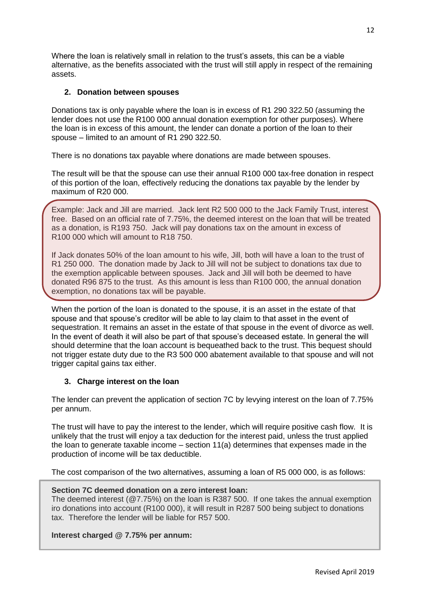Where the loan is relatively small in relation to the trust's assets, this can be a viable alternative, as the benefits associated with the trust will still apply in respect of the remaining assets.

#### **2. Donation between spouses**

Donations tax is only payable where the loan is in excess of R1 290 322.50 (assuming the lender does not use the R100 000 annual donation exemption for other purposes). Where the loan is in excess of this amount, the lender can donate a portion of the loan to their spouse – limited to an amount of R1 290 322.50.

There is no donations tax payable where donations are made between spouses.

The result will be that the spouse can use their annual R100 000 tax-free donation in respect of this portion of the loan, effectively reducing the donations tax payable by the lender by maximum of R20 000.

Example: Jack and Jill are married. Jack lent R2 500 000 to the Jack Family Trust, interest free. Based on an official rate of 7.75%, the deemed interest on the loan that will be treated as a donation, is R193 750. Jack will pay donations tax on the amount in excess of R100 000 which will amount to R18 750.

If Jack donates 50% of the loan amount to his wife, Jill, both will have a loan to the trust of R1 250 000. The donation made by Jack to Jill will not be subject to donations tax due to the exemption applicable between spouses. Jack and Jill will both be deemed to have donated R96 875 to the trust. As this amount is less than R100 000, the annual donation exemption, no donations tax will be payable.

When the portion of the loan is donated to the spouse, it is an asset in the estate of that spouse and that spouse's creditor will be able to lay claim to that asset in the event of sequestration. It remains an asset in the estate of that spouse in the event of divorce as well. In the event of death it will also be part of that spouse's deceased estate. In general the will should determine that the loan account is bequeathed back to the trust. This bequest should not trigger estate duty due to the R3 500 000 abatement available to that spouse and will not trigger capital gains tax either.

## **3. Charge interest on the loan**

The lender can prevent the application of section 7C by levying interest on the loan of 7.75% per annum.

The trust will have to pay the interest to the lender, which will require positive cash flow. It is unlikely that the trust will enjoy a tax deduction for the interest paid, unless the trust applied the loan to generate taxable income – section 11(a) determines that expenses made in the production of income will be tax deductible.

The cost comparison of the two alternatives, assuming a loan of R5 000 000, is as follows:

#### **Section 7C deemed donation on a zero interest loan:**

The deemed interest (@7.75%) on the loan is R387 500. If one takes the annual exemption iro donations into account (R100 000), it will result in R287 500 being subject to donations tax. Therefore the lender will be liable for R57 500.

#### **Interest charged @ 7.75% per annum:**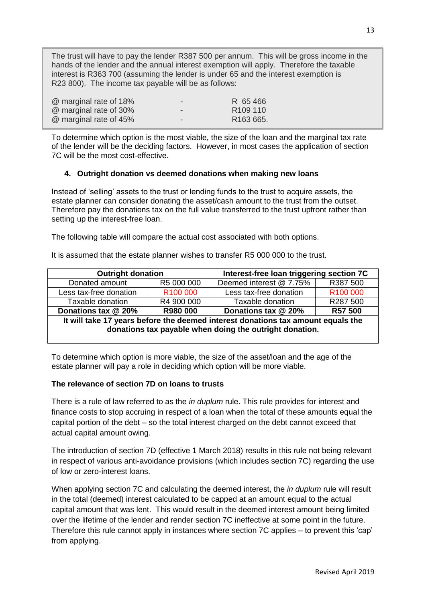The trust will have to pay the lender R387 500 per annum. This will be gross income in the hands of the lender and the annual interest exemption will apply. Therefore the taxable interest is R363 700 (assuming the lender is under 65 and the interest exemption is R23 800). The income tax payable will be as follows:

| @ marginal rate of 18% | -                        | R 65466               |
|------------------------|--------------------------|-----------------------|
| @ marginal rate of 30% | $\overline{\phantom{a}}$ | R <sub>109</sub> 110  |
| @ marginal rate of 45% | $\overline{\phantom{a}}$ | R <sub>163</sub> 665. |

To determine which option is the most viable, the size of the loan and the marginal tax rate of the lender will be the deciding factors. However, in most cases the application of section 7C will be the most cost-effective.

## **4. Outright donation vs deemed donations when making new loans**

Instead of 'selling' assets to the trust or lending funds to the trust to acquire assets, the estate planner can consider donating the asset/cash amount to the trust from the outset. Therefore pay the donations tax on the full value transferred to the trust upfront rather than setting up the interest-free loan.

The following table will compare the actual cost associated with both options.

It is assumed that the estate planner wishes to transfer R5 000 000 to the trust.

| <b>Outright donation</b><br>Interest-free loan triggering section 7C                                                                        |            |                         |                      |  |  |
|---------------------------------------------------------------------------------------------------------------------------------------------|------------|-------------------------|----------------------|--|--|
| Donated amount                                                                                                                              | R5 000 000 | Deemed interest @ 7.75% | R387 500             |  |  |
| Less tax-free donation                                                                                                                      | R100 000   | Less tax-free donation  | R <sub>100</sub> 000 |  |  |
| Taxable donation                                                                                                                            | R4 900 000 | Taxable donation        | R287 500             |  |  |
| Donations tax @ 20%                                                                                                                         | R980 000   | Donations tax @ 20%     | R57 500              |  |  |
| It will take 17 years before the deemed interest donations tax amount equals the<br>donations tax payable when doing the outright donation. |            |                         |                      |  |  |

To determine which option is more viable, the size of the asset/loan and the age of the estate planner will pay a role in deciding which option will be more viable.

## **The relevance of section 7D on loans to trusts**

There is a rule of law referred to as the *in duplum* rule. This rule provides for interest and finance costs to stop accruing in respect of a loan when the total of these amounts equal the capital portion of the debt – so the total interest charged on the debt cannot exceed that actual capital amount owing.

The introduction of section 7D (effective 1 March 2018) results in this rule not being relevant in respect of various anti-avoidance provisions (which includes section 7C) regarding the use of low or zero-interest loans.

When applying section 7C and calculating the deemed interest, the *in duplum* rule will result in the total (deemed) interest calculated to be capped at an amount equal to the actual capital amount that was lent. This would result in the deemed interest amount being limited over the lifetime of the lender and render section 7C ineffective at some point in the future. Therefore this rule cannot apply in instances where section 7C applies – to prevent this 'cap' from applying.